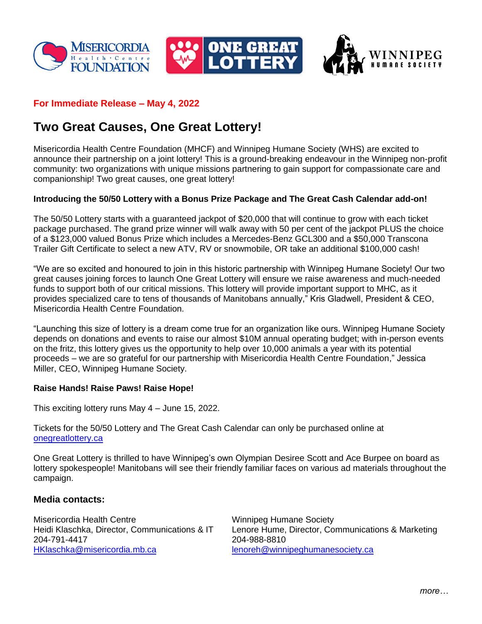





## **For Immediate Release – May 4, 2022**

# **Two Great Causes, One Great Lottery!**

Misericordia Health Centre Foundation (MHCF) and Winnipeg Humane Society (WHS) are excited to announce their partnership on a joint lottery! This is a ground-breaking endeavour in the Winnipeg non-profit community: two organizations with unique missions partnering to gain support for compassionate care and companionship! Two great causes, one great lottery!

### **Introducing the 50/50 Lottery with a Bonus Prize Package and The Great Cash Calendar add-on!**

The 50/50 Lottery starts with a guaranteed jackpot of \$20,000 that will continue to grow with each ticket package purchased. The grand prize winner will walk away with 50 per cent of the jackpot PLUS the choice of a \$123,000 valued Bonus Prize which includes a Mercedes-Benz GCL300 and a \$50,000 Transcona Trailer Gift Certificate to select a new ATV, RV or snowmobile, OR take an additional \$100,000 cash!

"We are so excited and honoured to join in this historic partnership with Winnipeg Humane Society! Our two great causes joining forces to launch One Great Lottery will ensure we raise awareness and much-needed funds to support both of our critical missions. This lottery will provide important support to MHC, as it provides specialized care to tens of thousands of Manitobans annually," Kris Gladwell, President & CEO, Misericordia Health Centre Foundation.

"Launching this size of lottery is a dream come true for an organization like ours. Winnipeg Humane Society depends on donations and events to raise our almost \$10M annual operating budget; with in-person events on the fritz, this lottery gives us the opportunity to help over 10,000 animals a year with its potential proceeds – we are so grateful for our partnership with Misericordia Health Centre Foundation," Jessica Miller, CEO, Winnipeg Humane Society.

#### **Raise Hands! Raise Paws! Raise Hope!**

This exciting lottery runs May 4 – June 15, 2022.

Tickets for the 50/50 Lottery and The Great Cash Calendar can only be purchased online at [onegreatlottery.ca](http://www.onegreatlottery.ca/)

One Great Lottery is thrilled to have Winnipeg's own Olympian Desiree Scott and Ace Burpee on board as lottery spokespeople! Manitobans will see their friendly familiar faces on various ad materials throughout the campaign.

#### **Media contacts:**

Misericordia Health Centre Winnipeg Humane Society 204-791-4417 204-988-8810 [HKlaschka@misericordia.mb.ca](mailto:HKlaschka@misericordia.mb.ca) [lenoreh@winnipeghumanesociety.ca](mailto:lenoreh@winnipeghumanesociety.ca)

Heidi Klaschka, Director, Communications & IT Lenore Hume, Director, Communications & Marketing